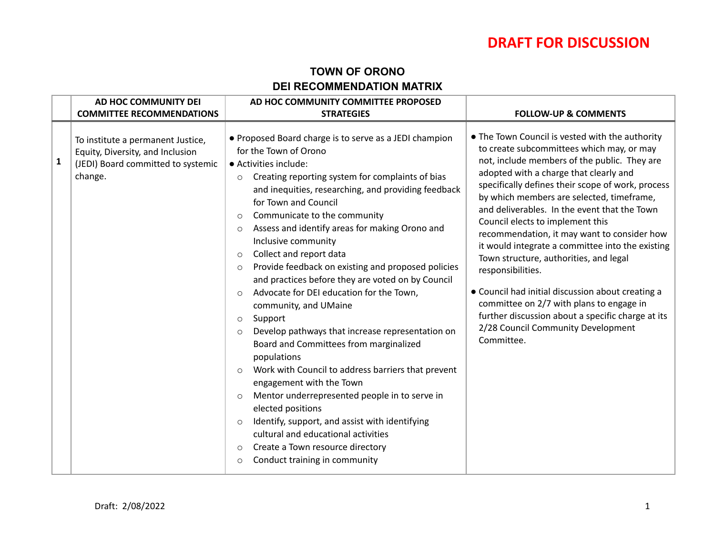#### **TOWN OF ORONO DEI RECOMMENDATION MATRIX**

|              | AD HOC COMMUNITY DEI                                                                                                   | AD HOC COMMUNITY COMMITTEE PROPOSED                                                                                                                                                                                                                                                                                                                                                                                                                                                                                                                                                                                                                                                                                                                                                                                                                                                                                                                                                                                                                                                                                                                           |                                                                                                                                                                                                                                                                                                                                                                                                                                                                                                                                                                                                                                                                                                                                                          |
|--------------|------------------------------------------------------------------------------------------------------------------------|---------------------------------------------------------------------------------------------------------------------------------------------------------------------------------------------------------------------------------------------------------------------------------------------------------------------------------------------------------------------------------------------------------------------------------------------------------------------------------------------------------------------------------------------------------------------------------------------------------------------------------------------------------------------------------------------------------------------------------------------------------------------------------------------------------------------------------------------------------------------------------------------------------------------------------------------------------------------------------------------------------------------------------------------------------------------------------------------------------------------------------------------------------------|----------------------------------------------------------------------------------------------------------------------------------------------------------------------------------------------------------------------------------------------------------------------------------------------------------------------------------------------------------------------------------------------------------------------------------------------------------------------------------------------------------------------------------------------------------------------------------------------------------------------------------------------------------------------------------------------------------------------------------------------------------|
|              | <b>COMMITTEE RECOMMENDATIONS</b>                                                                                       | <b>STRATEGIES</b>                                                                                                                                                                                                                                                                                                                                                                                                                                                                                                                                                                                                                                                                                                                                                                                                                                                                                                                                                                                                                                                                                                                                             | <b>FOLLOW-UP &amp; COMMENTS</b>                                                                                                                                                                                                                                                                                                                                                                                                                                                                                                                                                                                                                                                                                                                          |
| $\mathbf{1}$ | To institute a permanent Justice,<br>Equity, Diversity, and Inclusion<br>(JEDI) Board committed to systemic<br>change. | • Proposed Board charge is to serve as a JEDI champion<br>for the Town of Orono<br>· Activities include:<br>Creating reporting system for complaints of bias<br>$\circ$<br>and inequities, researching, and providing feedback<br>for Town and Council<br>Communicate to the community<br>$\circ$<br>Assess and identify areas for making Orono and<br>$\circ$<br>Inclusive community<br>Collect and report data<br>$\circ$<br>Provide feedback on existing and proposed policies<br>$\circ$<br>and practices before they are voted on by Council<br>Advocate for DEI education for the Town,<br>$\Omega$<br>community, and UMaine<br>Support<br>$\circ$<br>Develop pathways that increase representation on<br>$\circ$<br>Board and Committees from marginalized<br>populations<br>Work with Council to address barriers that prevent<br>$\circ$<br>engagement with the Town<br>Mentor underrepresented people in to serve in<br>$\circ$<br>elected positions<br>Identify, support, and assist with identifying<br>$\circ$<br>cultural and educational activities<br>Create a Town resource directory<br>$\circ$<br>Conduct training in community<br>$\circ$ | • The Town Council is vested with the authority<br>to create subcommittees which may, or may<br>not, include members of the public. They are<br>adopted with a charge that clearly and<br>specifically defines their scope of work, process<br>by which members are selected, timeframe,<br>and deliverables. In the event that the Town<br>Council elects to implement this<br>recommendation, it may want to consider how<br>it would integrate a committee into the existing<br>Town structure, authorities, and legal<br>responsibilities.<br>• Council had initial discussion about creating a<br>committee on 2/7 with plans to engage in<br>further discussion about a specific charge at its<br>2/28 Council Community Development<br>Committee. |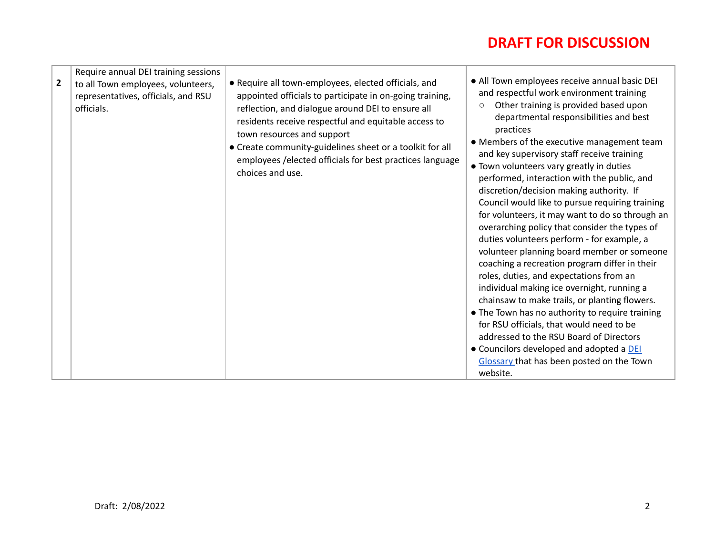| $\overline{2}$ | Require annual DEI training sessions<br>to all Town employees, volunteers,<br>representatives, officials, and RSU<br>officials. | • Require all town-employees, elected officials, and<br>appointed officials to participate in on-going training,<br>reflection, and dialogue around DEI to ensure all<br>residents receive respectful and equitable access to<br>town resources and support<br>• Create community-guidelines sheet or a toolkit for all<br>employees / elected officials for best practices language<br>choices and use. | • All Town employees receive annual basic DEI<br>and respectful work environment training<br>Other training is provided based upon<br>$\circ$<br>departmental responsibilities and best<br>practices<br>• Members of the executive management team<br>and key supervisory staff receive training<br>• Town volunteers vary greatly in duties<br>performed, interaction with the public, and<br>discretion/decision making authority. If<br>Council would like to pursue requiring training<br>for volunteers, it may want to do so through an<br>overarching policy that consider the types of<br>duties volunteers perform - for example, a<br>volunteer planning board member or someone<br>coaching a recreation program differ in their<br>roles, duties, and expectations from an<br>individual making ice overnight, running a<br>chainsaw to make trails, or planting flowers.<br>• The Town has no authority to require training<br>for RSU officials, that would need to be<br>addressed to the RSU Board of Directors<br>• Councilors developed and adopted a DEI<br>Glossary that has been posted on the Town<br>website. |
|----------------|---------------------------------------------------------------------------------------------------------------------------------|----------------------------------------------------------------------------------------------------------------------------------------------------------------------------------------------------------------------------------------------------------------------------------------------------------------------------------------------------------------------------------------------------------|--------------------------------------------------------------------------------------------------------------------------------------------------------------------------------------------------------------------------------------------------------------------------------------------------------------------------------------------------------------------------------------------------------------------------------------------------------------------------------------------------------------------------------------------------------------------------------------------------------------------------------------------------------------------------------------------------------------------------------------------------------------------------------------------------------------------------------------------------------------------------------------------------------------------------------------------------------------------------------------------------------------------------------------------------------------------------------------------------------------------------------------|
|----------------|---------------------------------------------------------------------------------------------------------------------------------|----------------------------------------------------------------------------------------------------------------------------------------------------------------------------------------------------------------------------------------------------------------------------------------------------------------------------------------------------------------------------------------------------------|--------------------------------------------------------------------------------------------------------------------------------------------------------------------------------------------------------------------------------------------------------------------------------------------------------------------------------------------------------------------------------------------------------------------------------------------------------------------------------------------------------------------------------------------------------------------------------------------------------------------------------------------------------------------------------------------------------------------------------------------------------------------------------------------------------------------------------------------------------------------------------------------------------------------------------------------------------------------------------------------------------------------------------------------------------------------------------------------------------------------------------------|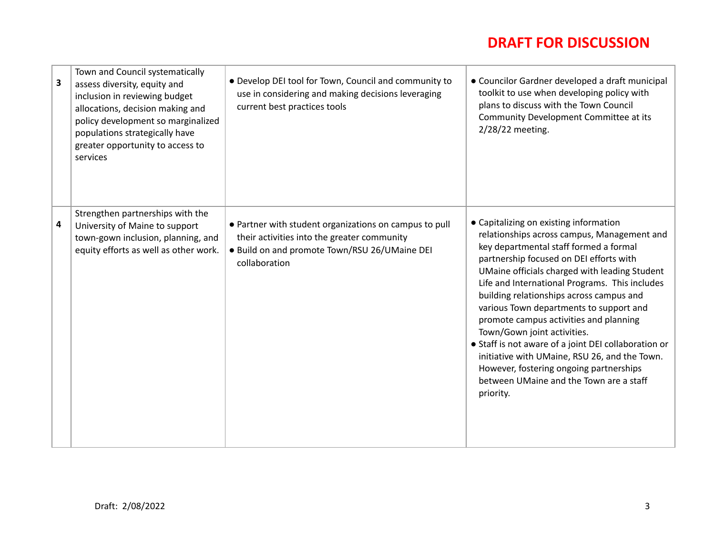| Town and Council systematically<br>3<br>assess diversity, equity and<br>inclusion in reviewing budget<br>allocations, decision making and<br>policy development so marginalized<br>populations strategically have<br>greater opportunity to access to<br>services | • Develop DEI tool for Town, Council and community to<br>use in considering and making decisions leveraging<br>current best practices tools                             | • Councilor Gardner developed a draft municipal<br>toolkit to use when developing policy with<br>plans to discuss with the Town Council<br>Community Development Committee at its<br>2/28/22 meeting.                                                                                                                                                                                                                                                                                                                                                                                                                                                     |
|-------------------------------------------------------------------------------------------------------------------------------------------------------------------------------------------------------------------------------------------------------------------|-------------------------------------------------------------------------------------------------------------------------------------------------------------------------|-----------------------------------------------------------------------------------------------------------------------------------------------------------------------------------------------------------------------------------------------------------------------------------------------------------------------------------------------------------------------------------------------------------------------------------------------------------------------------------------------------------------------------------------------------------------------------------------------------------------------------------------------------------|
| Strengthen partnerships with the<br>4<br>University of Maine to support<br>town-gown inclusion, planning, and<br>equity efforts as well as other work.                                                                                                            | • Partner with student organizations on campus to pull<br>their activities into the greater community<br>. Build on and promote Town/RSU 26/UMaine DEI<br>collaboration | • Capitalizing on existing information<br>relationships across campus, Management and<br>key departmental staff formed a formal<br>partnership focused on DEI efforts with<br>UMaine officials charged with leading Student<br>Life and International Programs. This includes<br>building relationships across campus and<br>various Town departments to support and<br>promote campus activities and planning<br>Town/Gown joint activities.<br>• Staff is not aware of a joint DEI collaboration or<br>initiative with UMaine, RSU 26, and the Town.<br>However, fostering ongoing partnerships<br>between UMaine and the Town are a staff<br>priority. |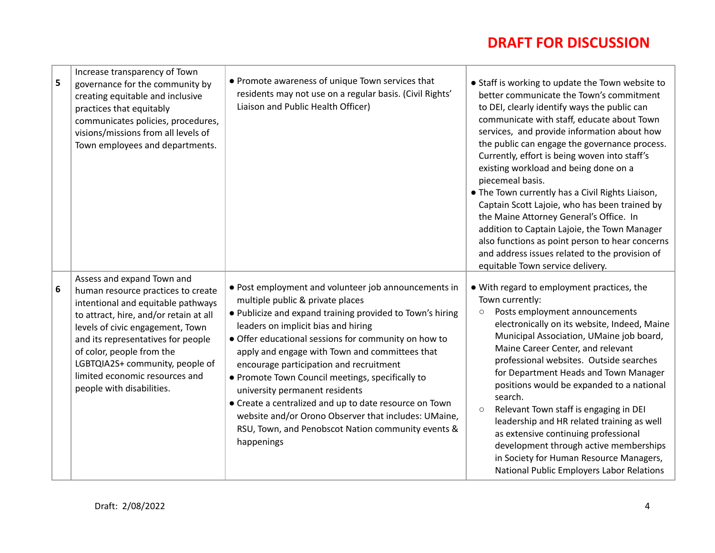| 5 | Increase transparency of Town<br>governance for the community by<br>creating equitable and inclusive<br>practices that equitably<br>communicates policies, procedures,<br>visions/missions from all levels of<br>Town employees and departments.                                                                                                          | • Promote awareness of unique Town services that<br>residents may not use on a regular basis. (Civil Rights'<br>Liaison and Public Health Officer)                                                                                                                                                                                                                                                                                                                                                                                                                                                                            | • Staff is working to update the Town website to<br>better communicate the Town's commitment<br>to DEI, clearly identify ways the public can<br>communicate with staff, educate about Town<br>services, and provide information about how<br>the public can engage the governance process.<br>Currently, effort is being woven into staff's<br>existing workload and being done on a<br>piecemeal basis.<br>• The Town currently has a Civil Rights Liaison,<br>Captain Scott Lajoie, who has been trained by<br>the Maine Attorney General's Office. In<br>addition to Captain Lajoie, the Town Manager<br>also functions as point person to hear concerns<br>and address issues related to the provision of<br>equitable Town service delivery. |
|---|-----------------------------------------------------------------------------------------------------------------------------------------------------------------------------------------------------------------------------------------------------------------------------------------------------------------------------------------------------------|-------------------------------------------------------------------------------------------------------------------------------------------------------------------------------------------------------------------------------------------------------------------------------------------------------------------------------------------------------------------------------------------------------------------------------------------------------------------------------------------------------------------------------------------------------------------------------------------------------------------------------|---------------------------------------------------------------------------------------------------------------------------------------------------------------------------------------------------------------------------------------------------------------------------------------------------------------------------------------------------------------------------------------------------------------------------------------------------------------------------------------------------------------------------------------------------------------------------------------------------------------------------------------------------------------------------------------------------------------------------------------------------|
| 6 | Assess and expand Town and<br>human resource practices to create<br>intentional and equitable pathways<br>to attract, hire, and/or retain at all<br>levels of civic engagement, Town<br>and its representatives for people<br>of color, people from the<br>LGBTQIA2S+ community, people of<br>limited economic resources and<br>people with disabilities. | • Post employment and volunteer job announcements in<br>multiple public & private places<br>. Publicize and expand training provided to Town's hiring<br>leaders on implicit bias and hiring<br>• Offer educational sessions for community on how to<br>apply and engage with Town and committees that<br>encourage participation and recruitment<br>• Promote Town Council meetings, specifically to<br>university permanent residents<br>• Create a centralized and up to date resource on Town<br>website and/or Orono Observer that includes: UMaine,<br>RSU, Town, and Penobscot Nation community events &<br>happenings | • With regard to employment practices, the<br>Town currently:<br>Posts employment announcements<br>$\circ$<br>electronically on its website, Indeed, Maine<br>Municipal Association, UMaine job board,<br>Maine Career Center, and relevant<br>professional websites. Outside searches<br>for Department Heads and Town Manager<br>positions would be expanded to a national<br>search.<br>Relevant Town staff is engaging in DEI<br>$\circ$<br>leadership and HR related training as well<br>as extensive continuing professional<br>development through active memberships<br>in Society for Human Resource Managers,<br>National Public Employers Labor Relations                                                                              |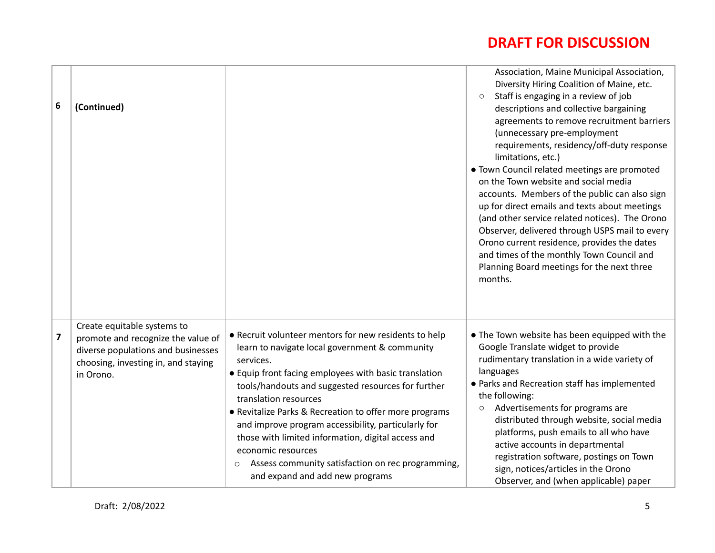| 6                       | (Continued)                                                                                                                                                 |                                                                                                                                                                                                                                                                                                                                                                                                                                                                                                                                                   | Association, Maine Municipal Association,<br>Diversity Hiring Coalition of Maine, etc.<br>Staff is engaging in a review of job<br>$\circ$<br>descriptions and collective bargaining<br>agreements to remove recruitment barriers<br>(unnecessary pre-employment<br>requirements, residency/off-duty response<br>limitations, etc.)<br>. Town Council related meetings are promoted<br>on the Town website and social media<br>accounts. Members of the public can also sign<br>up for direct emails and texts about meetings<br>(and other service related notices). The Orono<br>Observer, delivered through USPS mail to every<br>Orono current residence, provides the dates<br>and times of the monthly Town Council and<br>Planning Board meetings for the next three<br>months. |
|-------------------------|-------------------------------------------------------------------------------------------------------------------------------------------------------------|---------------------------------------------------------------------------------------------------------------------------------------------------------------------------------------------------------------------------------------------------------------------------------------------------------------------------------------------------------------------------------------------------------------------------------------------------------------------------------------------------------------------------------------------------|---------------------------------------------------------------------------------------------------------------------------------------------------------------------------------------------------------------------------------------------------------------------------------------------------------------------------------------------------------------------------------------------------------------------------------------------------------------------------------------------------------------------------------------------------------------------------------------------------------------------------------------------------------------------------------------------------------------------------------------------------------------------------------------|
| $\overline{\mathbf{z}}$ | Create equitable systems to<br>promote and recognize the value of<br>diverse populations and businesses<br>choosing, investing in, and staying<br>in Orono. | • Recruit volunteer mentors for new residents to help<br>learn to navigate local government & community<br>services.<br>• Equip front facing employees with basic translation<br>tools/handouts and suggested resources for further<br>translation resources<br>• Revitalize Parks & Recreation to offer more programs<br>and improve program accessibility, particularly for<br>those with limited information, digital access and<br>economic resources<br>Assess community satisfaction on rec programming,<br>and expand and add new programs | • The Town website has been equipped with the<br>Google Translate widget to provide<br>rudimentary translation in a wide variety of<br>languages<br>• Parks and Recreation staff has implemented<br>the following:<br>Advertisements for programs are<br>$\bigcirc$<br>distributed through website, social media<br>platforms, push emails to all who have<br>active accounts in departmental<br>registration software, postings on Town<br>sign, notices/articles in the Orono<br>Observer, and (when applicable) paper                                                                                                                                                                                                                                                              |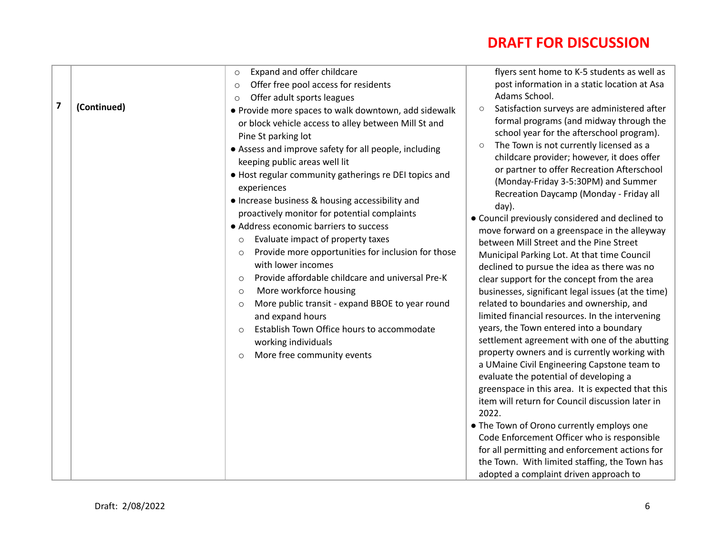| $\overline{\mathbf{z}}$ | (Continued) | Expand and offer childcare<br>$\circ$<br>Offer free pool access for residents<br>$\circ$<br>Offer adult sports leagues<br>$\circ$<br>• Provide more spaces to walk downtown, add sidewalk<br>or block vehicle access to alley between Mill St and<br>Pine St parking lot<br>• Assess and improve safety for all people, including<br>keeping public areas well lit<br>• Host regular community gatherings re DEI topics and<br>experiences<br>• Increase business & housing accessibility and<br>proactively monitor for potential complaints<br>• Address economic barriers to success<br>Evaluate impact of property taxes<br>$\circ$<br>Provide more opportunities for inclusion for those<br>$\circ$<br>with lower incomes<br>Provide affordable childcare and universal Pre-K<br>$\circ$<br>More workforce housing<br>$\circ$<br>More public transit - expand BBOE to year round<br>$\circ$<br>and expand hours<br>Establish Town Office hours to accommodate<br>$\circ$<br>working individuals<br>More free community events<br>$\circ$ | flyers sent home to K-5 students as well as<br>post information in a static location at Asa<br>Adams School.<br>Satisfaction surveys are administered after<br>$\circ$<br>formal programs (and midway through the<br>school year for the afterschool program).<br>The Town is not currently licensed as a<br>$\circ$<br>childcare provider; however, it does offer<br>or partner to offer Recreation Afterschool<br>(Monday-Friday 3-5:30PM) and Summer<br>Recreation Daycamp (Monday - Friday all<br>day).<br>• Council previously considered and declined to<br>move forward on a greenspace in the alleyway<br>between Mill Street and the Pine Street<br>Municipal Parking Lot. At that time Council<br>declined to pursue the idea as there was no<br>clear support for the concept from the area<br>businesses, significant legal issues (at the time)<br>related to boundaries and ownership, and<br>limited financial resources. In the intervening<br>years, the Town entered into a boundary<br>settlement agreement with one of the abutting<br>property owners and is currently working with<br>a UMaine Civil Engineering Capstone team to<br>evaluate the potential of developing a<br>greenspace in this area. It is expected that this<br>item will return for Council discussion later in<br>2022. |
|-------------------------|-------------|-----------------------------------------------------------------------------------------------------------------------------------------------------------------------------------------------------------------------------------------------------------------------------------------------------------------------------------------------------------------------------------------------------------------------------------------------------------------------------------------------------------------------------------------------------------------------------------------------------------------------------------------------------------------------------------------------------------------------------------------------------------------------------------------------------------------------------------------------------------------------------------------------------------------------------------------------------------------------------------------------------------------------------------------------|---------------------------------------------------------------------------------------------------------------------------------------------------------------------------------------------------------------------------------------------------------------------------------------------------------------------------------------------------------------------------------------------------------------------------------------------------------------------------------------------------------------------------------------------------------------------------------------------------------------------------------------------------------------------------------------------------------------------------------------------------------------------------------------------------------------------------------------------------------------------------------------------------------------------------------------------------------------------------------------------------------------------------------------------------------------------------------------------------------------------------------------------------------------------------------------------------------------------------------------------------------------------------------------------------------------------|
|                         |             |                                                                                                                                                                                                                                                                                                                                                                                                                                                                                                                                                                                                                                                                                                                                                                                                                                                                                                                                                                                                                                               | . The Town of Orono currently employs one<br>Code Enforcement Officer who is responsible<br>for all permitting and enforcement actions for<br>the Town. With limited staffing, the Town has<br>adopted a complaint driven approach to                                                                                                                                                                                                                                                                                                                                                                                                                                                                                                                                                                                                                                                                                                                                                                                                                                                                                                                                                                                                                                                                               |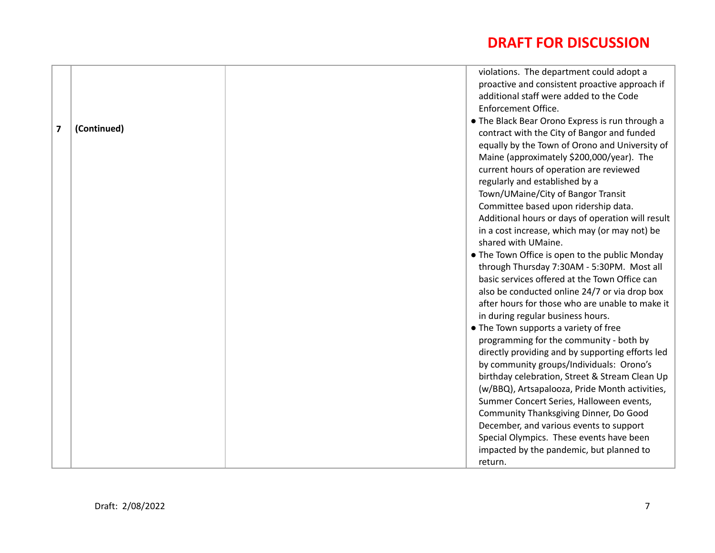|   |             | violations. The department could adopt a          |
|---|-------------|---------------------------------------------------|
|   |             | proactive and consistent proactive approach if    |
|   |             | additional staff were added to the Code           |
|   |             | Enforcement Office.                               |
|   |             | • The Black Bear Orono Express is run through a   |
| 7 | (Continued) | contract with the City of Bangor and funded       |
|   |             | equally by the Town of Orono and University of    |
|   |             | Maine (approximately \$200,000/year). The         |
|   |             | current hours of operation are reviewed           |
|   |             | regularly and established by a                    |
|   |             | Town/UMaine/City of Bangor Transit                |
|   |             | Committee based upon ridership data.              |
|   |             | Additional hours or days of operation will result |
|   |             | in a cost increase, which may (or may not) be     |
|   |             | shared with UMaine.                               |
|   |             | • The Town Office is open to the public Monday    |
|   |             | through Thursday 7:30AM - 5:30PM. Most all        |
|   |             | basic services offered at the Town Office can     |
|   |             | also be conducted online 24/7 or via drop box     |
|   |             | after hours for those who are unable to make it   |
|   |             | in during regular business hours.                 |
|   |             | • The Town supports a variety of free             |
|   |             | programming for the community - both by           |
|   |             | directly providing and by supporting efforts led  |
|   |             | by community groups/Individuals: Orono's          |
|   |             | birthday celebration, Street & Stream Clean Up    |
|   |             | (w/BBQ), Artsapalooza, Pride Month activities,    |
|   |             | Summer Concert Series, Halloween events,          |
|   |             | Community Thanksgiving Dinner, Do Good            |
|   |             | December, and various events to support           |
|   |             | Special Olympics. These events have been          |
|   |             | impacted by the pandemic, but planned to          |
|   |             | return.                                           |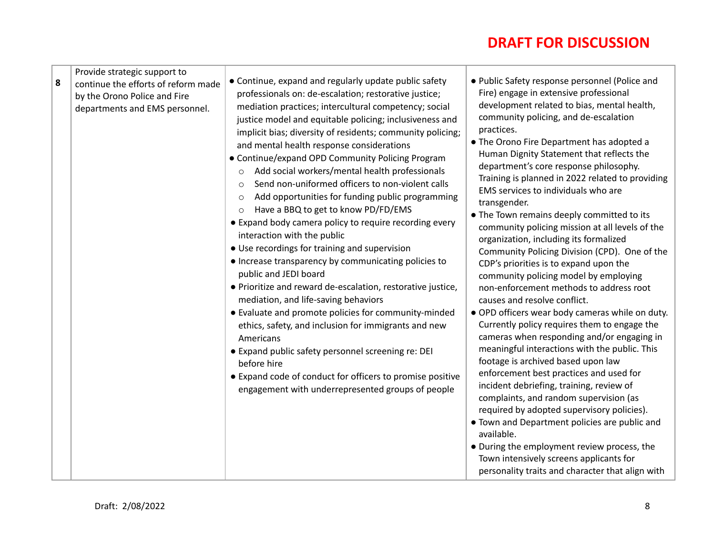| Provide strategic support to<br>8<br>continue the efforts of reform made<br>by the Orono Police and Fire<br>departments and EMS personnel. | • Continue, expand and regularly update public safety<br>professionals on: de-escalation; restorative justice;<br>mediation practices; intercultural competency; social<br>justice model and equitable policing; inclusiveness and<br>implicit bias; diversity of residents; community policing;<br>and mental health response considerations<br>• Continue/expand OPD Community Policing Program<br>Add social workers/mental health professionals<br>$\circ$<br>Send non-uniformed officers to non-violent calls<br>$\bigcirc$<br>Add opportunities for funding public programming<br>$\circ$<br>Have a BBQ to get to know PD/FD/EMS<br>$\circ$<br>• Expand body camera policy to require recording every<br>interaction with the public<br>• Use recordings for training and supervision<br>• Increase transparency by communicating policies to<br>public and JEDI board<br>• Prioritize and reward de-escalation, restorative justice,<br>mediation, and life-saving behaviors<br>• Evaluate and promote policies for community-minded<br>ethics, safety, and inclusion for immigrants and new<br>Americans<br>• Expand public safety personnel screening re: DEI<br>before hire<br>• Expand code of conduct for officers to promise positive<br>engagement with underrepresented groups of people | • Public Safety response personnel (Police and<br>Fire) engage in extensive professional<br>development related to bias, mental health,<br>community policing, and de-escalation<br>practices.<br>• The Orono Fire Department has adopted a<br>Human Dignity Statement that reflects the<br>department's core response philosophy.<br>Training is planned in 2022 related to providing<br>EMS services to individuals who are<br>transgender.<br>. The Town remains deeply committed to its<br>community policing mission at all levels of the<br>organization, including its formalized<br>Community Policing Division (CPD). One of the<br>CDP's priorities is to expand upon the<br>community policing model by employing<br>non-enforcement methods to address root<br>causes and resolve conflict.<br>· OPD officers wear body cameras while on duty.<br>Currently policy requires them to engage the<br>cameras when responding and/or engaging in<br>meaningful interactions with the public. This<br>footage is archived based upon law<br>enforcement best practices and used for<br>incident debriefing, training, review of<br>complaints, and random supervision (as<br>required by adopted supervisory policies).<br>. Town and Department policies are public and<br>available.<br>• During the employment review process, the<br>Town intensively screens applicants for |
|--------------------------------------------------------------------------------------------------------------------------------------------|---------------------------------------------------------------------------------------------------------------------------------------------------------------------------------------------------------------------------------------------------------------------------------------------------------------------------------------------------------------------------------------------------------------------------------------------------------------------------------------------------------------------------------------------------------------------------------------------------------------------------------------------------------------------------------------------------------------------------------------------------------------------------------------------------------------------------------------------------------------------------------------------------------------------------------------------------------------------------------------------------------------------------------------------------------------------------------------------------------------------------------------------------------------------------------------------------------------------------------------------------------------------------------------------------------|-----------------------------------------------------------------------------------------------------------------------------------------------------------------------------------------------------------------------------------------------------------------------------------------------------------------------------------------------------------------------------------------------------------------------------------------------------------------------------------------------------------------------------------------------------------------------------------------------------------------------------------------------------------------------------------------------------------------------------------------------------------------------------------------------------------------------------------------------------------------------------------------------------------------------------------------------------------------------------------------------------------------------------------------------------------------------------------------------------------------------------------------------------------------------------------------------------------------------------------------------------------------------------------------------------------------------------------------------------------------------------------------|
|                                                                                                                                            |                                                                                                                                                                                                                                                                                                                                                                                                                                                                                                                                                                                                                                                                                                                                                                                                                                                                                                                                                                                                                                                                                                                                                                                                                                                                                                         | personality traits and character that align with                                                                                                                                                                                                                                                                                                                                                                                                                                                                                                                                                                                                                                                                                                                                                                                                                                                                                                                                                                                                                                                                                                                                                                                                                                                                                                                                        |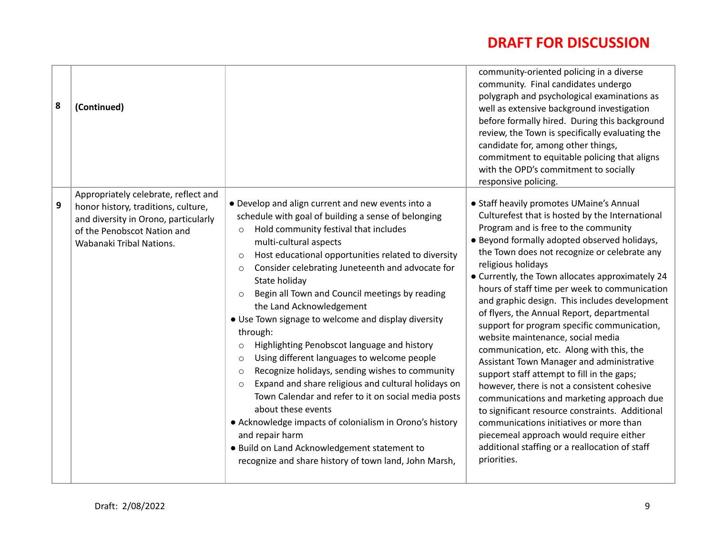| 8                | (Continued)                                                                                                                                                                    |                                                                                                                                                                                                                                                                                                                                                                                                                                                                                                                                                                                                                                                                                                                                                                                                                                                                                                                                                                                                                               | community-oriented policing in a diverse<br>community. Final candidates undergo<br>polygraph and psychological examinations as<br>well as extensive background investigation<br>before formally hired. During this background<br>review, the Town is specifically evaluating the<br>candidate for, among other things,<br>commitment to equitable policing that aligns<br>with the OPD's commitment to socially<br>responsive policing.                                                                                                                                                                                                                                                                                                                                                                                                                                                                                                                                                        |
|------------------|--------------------------------------------------------------------------------------------------------------------------------------------------------------------------------|-------------------------------------------------------------------------------------------------------------------------------------------------------------------------------------------------------------------------------------------------------------------------------------------------------------------------------------------------------------------------------------------------------------------------------------------------------------------------------------------------------------------------------------------------------------------------------------------------------------------------------------------------------------------------------------------------------------------------------------------------------------------------------------------------------------------------------------------------------------------------------------------------------------------------------------------------------------------------------------------------------------------------------|------------------------------------------------------------------------------------------------------------------------------------------------------------------------------------------------------------------------------------------------------------------------------------------------------------------------------------------------------------------------------------------------------------------------------------------------------------------------------------------------------------------------------------------------------------------------------------------------------------------------------------------------------------------------------------------------------------------------------------------------------------------------------------------------------------------------------------------------------------------------------------------------------------------------------------------------------------------------------------------------|
| $\boldsymbol{9}$ | Appropriately celebrate, reflect and<br>honor history, traditions, culture,<br>and diversity in Orono, particularly<br>of the Penobscot Nation and<br>Wabanaki Tribal Nations. | • Develop and align current and new events into a<br>schedule with goal of building a sense of belonging<br>Hold community festival that includes<br>$\circ$<br>multi-cultural aspects<br>Host educational opportunities related to diversity<br>$\circ$<br>Consider celebrating Juneteenth and advocate for<br>$\circ$<br>State holiday<br>Begin all Town and Council meetings by reading<br>$\circ$<br>the Land Acknowledgement<br>• Use Town signage to welcome and display diversity<br>through:<br>Highlighting Penobscot language and history<br>$\circ$<br>Using different languages to welcome people<br>$\circ$<br>Recognize holidays, sending wishes to community<br>$\circ$<br>Expand and share religious and cultural holidays on<br>$\Omega$<br>Town Calendar and refer to it on social media posts<br>about these events<br>• Acknowledge impacts of colonialism in Orono's history<br>and repair harm<br>. Build on Land Acknowledgement statement to<br>recognize and share history of town land, John Marsh, | • Staff heavily promotes UMaine's Annual<br>Culturefest that is hosted by the International<br>Program and is free to the community<br>• Beyond formally adopted observed holidays,<br>the Town does not recognize or celebrate any<br>religious holidays<br>• Currently, the Town allocates approximately 24<br>hours of staff time per week to communication<br>and graphic design. This includes development<br>of flyers, the Annual Report, departmental<br>support for program specific communication,<br>website maintenance, social media<br>communication, etc. Along with this, the<br>Assistant Town Manager and administrative<br>support staff attempt to fill in the gaps;<br>however, there is not a consistent cohesive<br>communications and marketing approach due<br>to significant resource constraints. Additional<br>communications initiatives or more than<br>piecemeal approach would require either<br>additional staffing or a reallocation of staff<br>priorities. |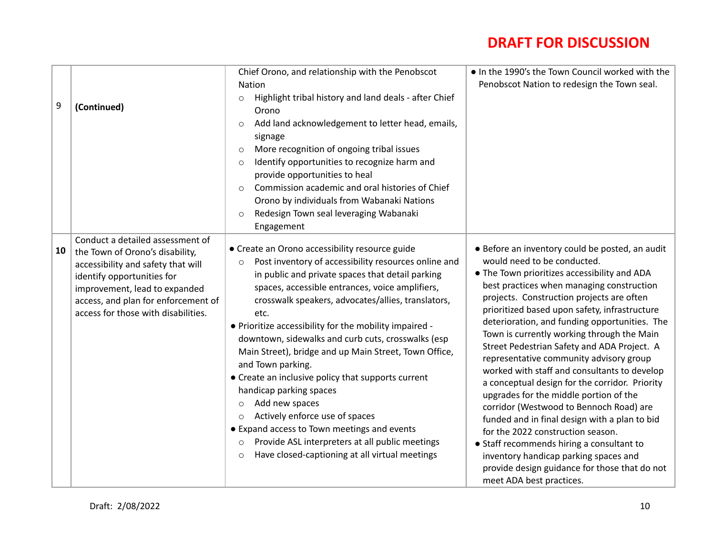| 9  | (Continued)                                                                                                                                                                                                                                            | Chief Orono, and relationship with the Penobscot<br>Nation<br>Highlight tribal history and land deals - after Chief<br>$\circ$<br>Orono<br>Add land acknowledgement to letter head, emails,<br>$\circ$<br>signage<br>More recognition of ongoing tribal issues<br>$\circ$<br>Identify opportunities to recognize harm and<br>$\circ$<br>provide opportunities to heal<br>Commission academic and oral histories of Chief<br>$\Omega$<br>Orono by individuals from Wabanaki Nations<br>Redesign Town seal leveraging Wabanaki<br>$\circ$<br>Engagement                                                                                                                                                                                                                                                                     | . In the 1990's the Town Council worked with the<br>Penobscot Nation to redesign the Town seal.                                                                                                                                                                                                                                                                                                                                                                                                                                                                                                                                                                                                                                                                                                                                                                                                                    |
|----|--------------------------------------------------------------------------------------------------------------------------------------------------------------------------------------------------------------------------------------------------------|---------------------------------------------------------------------------------------------------------------------------------------------------------------------------------------------------------------------------------------------------------------------------------------------------------------------------------------------------------------------------------------------------------------------------------------------------------------------------------------------------------------------------------------------------------------------------------------------------------------------------------------------------------------------------------------------------------------------------------------------------------------------------------------------------------------------------|--------------------------------------------------------------------------------------------------------------------------------------------------------------------------------------------------------------------------------------------------------------------------------------------------------------------------------------------------------------------------------------------------------------------------------------------------------------------------------------------------------------------------------------------------------------------------------------------------------------------------------------------------------------------------------------------------------------------------------------------------------------------------------------------------------------------------------------------------------------------------------------------------------------------|
| 10 | Conduct a detailed assessment of<br>the Town of Orono's disability,<br>accessibility and safety that will<br>identify opportunities for<br>improvement, lead to expanded<br>access, and plan for enforcement of<br>access for those with disabilities. | • Create an Orono accessibility resource guide<br>Post inventory of accessibility resources online and<br>$\circ$<br>in public and private spaces that detail parking<br>spaces, accessible entrances, voice amplifiers,<br>crosswalk speakers, advocates/allies, translators,<br>etc.<br>. Prioritize accessibility for the mobility impaired -<br>downtown, sidewalks and curb cuts, crosswalks (esp<br>Main Street), bridge and up Main Street, Town Office,<br>and Town parking.<br>• Create an inclusive policy that supports current<br>handicap parking spaces<br>Add new spaces<br>$\circ$<br>Actively enforce use of spaces<br>$\circ$<br>• Expand access to Town meetings and events<br>Provide ASL interpreters at all public meetings<br>$\circ$<br>Have closed-captioning at all virtual meetings<br>$\circ$ | • Before an inventory could be posted, an audit<br>would need to be conducted.<br>• The Town prioritizes accessibility and ADA<br>best practices when managing construction<br>projects. Construction projects are often<br>prioritized based upon safety, infrastructure<br>deterioration, and funding opportunities. The<br>Town is currently working through the Main<br>Street Pedestrian Safety and ADA Project. A<br>representative community advisory group<br>worked with staff and consultants to develop<br>a conceptual design for the corridor. Priority<br>upgrades for the middle portion of the<br>corridor (Westwood to Bennoch Road) are<br>funded and in final design with a plan to bid<br>for the 2022 construction season.<br>• Staff recommends hiring a consultant to<br>inventory handicap parking spaces and<br>provide design guidance for those that do not<br>meet ADA best practices. |